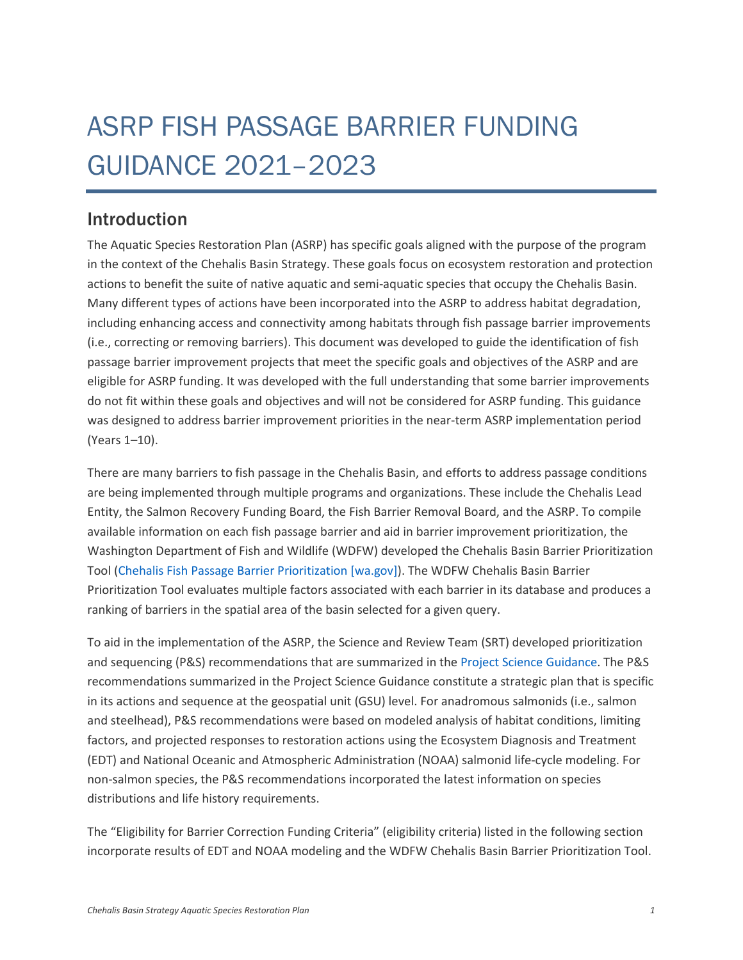## ASRP FISH PASSAGE BARRIER FUNDING GUIDANCE 2021–2023

## Introduction

The Aquatic Species Restoration Plan (ASRP) has specific goals aligned with the purpose of the program in the context of the Chehalis Basin Strategy. These goals focus on ecosystem restoration and protection actions to benefit the suite of native aquatic and semi-aquatic species that occupy the Chehalis Basin. Many different types of actions have been incorporated into the ASRP to address habitat degradation, including enhancing access and connectivity among habitats through fish passage barrier improvements (i.e., correcting or removing barriers). This document was developed to guide the identification of fish passage barrier improvement projects that meet the specific goals and objectives of the ASRP and are eligible for ASRP funding. It was developed with the full understanding that some barrier improvements do not fit within these goals and objectives and will not be considered for ASRP funding. This guidance was designed to address barrier improvement priorities in the near-term ASRP implementation period (Years 1–10).

There are many barriers to fish passage in the Chehalis Basin, and efforts to address passage conditions are being implemented through multiple programs and organizations. These include the Chehalis Lead Entity, the Salmon Recovery Funding Board, the Fish Barrier Removal Board, and the ASRP. To compile available information on each fish passage barrier and aid in barrier improvement prioritization, the Washington Department of Fish and Wildlife (WDFW) developed the Chehalis Basin Barrier Prioritization Tool [\(Chehalis Fish Passage Barrier Prioritization \[wa.gov\]\)](https://geodataservices.wdfw.wa.gov/hp/chehalisprioritization/index.html). The WDFW Chehalis Basin Barrier Prioritization Tool evaluates multiple factors associated with each barrier in its database and produces a ranking of barriers in the spatial area of the basin selected for a given query.

To aid in the implementation of the ASRP, the Science and Review Team (SRT) developed prioritization and sequencing (P&S) recommendations that are summarized in th[e Project Science Guidance.](http://chehalisbasinstrategy.com/wp-content/uploads/2021/10/ASRP-Project-Science-Guidance_FINAL_08122021_Tagged.pdf) The P&S recommendations summarized in the Project Science Guidance constitute a strategic plan that is specific in its actions and sequence at the geospatial unit (GSU) level. For anadromous salmonids (i.e., salmon and steelhead), P&S recommendations were based on modeled analysis of habitat conditions, limiting factors, and projected responses to restoration actions using the Ecosystem Diagnosis and Treatment (EDT) and National Oceanic and Atmospheric Administration (NOAA) salmonid life-cycle modeling. For non-salmon species, the P&S recommendations incorporated the latest information on species distributions and life history requirements.

The "Eligibility for Barrier Correction Funding Criteria" (eligibility criteria) listed in the following section incorporate results of EDT and NOAA modeling and the WDFW Chehalis Basin Barrier Prioritization Tool.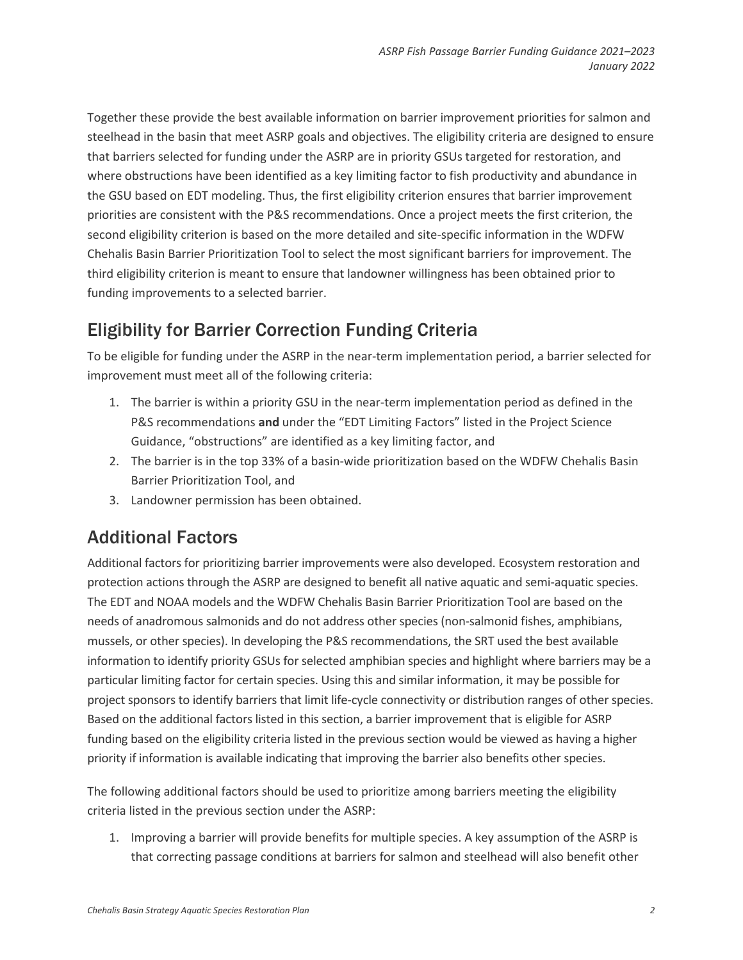Together these provide the best available information on barrier improvement priorities for salmon and steelhead in the basin that meet ASRP goals and objectives. The eligibility criteria are designed to ensure that barriers selected for funding under the ASRP are in priority GSUs targeted for restoration, and where obstructions have been identified as a key limiting factor to fish productivity and abundance in the GSU based on EDT modeling. Thus, the first eligibility criterion ensures that barrier improvement priorities are consistent with the P&S recommendations. Once a project meets the first criterion, the second eligibility criterion is based on the more detailed and site-specific information in the WDFW Chehalis Basin Barrier Prioritization Tool to select the most significant barriers for improvement. The third eligibility criterion is meant to ensure that landowner willingness has been obtained prior to funding improvements to a selected barrier.

## Eligibility for Barrier Correction Funding Criteria

To be eligible for funding under the ASRP in the near-term implementation period, a barrier selected for improvement must meet all of the following criteria:

- 1. The barrier is within a priority GSU in the near-term implementation period as defined in the P&S recommendations **and** under the "EDT Limiting Factors" listed in the Project Science Guidance, "obstructions" are identified as a key limiting factor, and
- 2. The barrier is in the top 33% of a basin-wide prioritization based on the WDFW Chehalis Basin Barrier Prioritization Tool, and
- 3. Landowner permission has been obtained.

## Additional Factors

Additional factors for prioritizing barrier improvements were also developed. Ecosystem restoration and protection actions through the ASRP are designed to benefit all native aquatic and semi-aquatic species. The EDT and NOAA models and the WDFW Chehalis Basin Barrier Prioritization Tool are based on the needs of anadromous salmonids and do not address other species (non-salmonid fishes, amphibians, mussels, or other species). In developing the P&S recommendations, the SRT used the best available information to identify priority GSUs for selected amphibian species and highlight where barriers may be a particular limiting factor for certain species. Using this and similar information, it may be possible for project sponsors to identify barriers that limit life-cycle connectivity or distribution ranges of other species. Based on the additional factors listed in this section, a barrier improvement that is eligible for ASRP funding based on the eligibility criteria listed in the previous section would be viewed as having a higher priority if information is available indicating that improving the barrier also benefits other species.

The following additional factors should be used to prioritize among barriers meeting the eligibility criteria listed in the previous section under the ASRP:

1. Improving a barrier will provide benefits for multiple species. A key assumption of the ASRP is that correcting passage conditions at barriers for salmon and steelhead will also benefit other